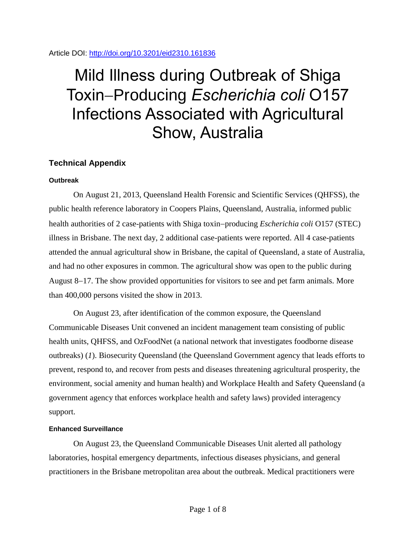## Article DOI:<http://doi.org/10.3201/eid2310.161836>

# Mild Illness during Outbreak of Shiga Toxin-Producing *Escherichia coli* O157 Infections Associated with Agricultural Show, Australia

# **Technical Appendix**

# **Outbreak**

On August 21, 2013, Queensland Health Forensic and Scientific Services (QHFSS), the public health reference laboratory in Coopers Plains, Queensland, Australia, informed public health authorities of 2 case-patients with Shiga toxin-producing *Escherichia coli* O157 (STEC) illness in Brisbane. The next day, 2 additional case-patients were reported. All 4 case-patients attended the annual agricultural show in Brisbane, the capital of Queensland, a state of Australia, and had no other exposures in common. The agricultural show was open to the public during August  $8-17$ . The show provided opportunities for visitors to see and pet farm animals. More than 400,000 persons visited the show in 2013.

On August 23, after identification of the common exposure, the Queensland Communicable Diseases Unit convened an incident management team consisting of public health units, QHFSS, and OzFoodNet (a national network that investigates foodborne disease outbreaks) (*1*). Biosecurity Queensland (the Queensland Government agency that leads efforts to prevent, respond to, and recover from pests and diseases threatening agricultural prosperity, the environment, social amenity and human health) and Workplace Health and Safety Queensland (a government agency that enforces workplace health and safety laws) provided interagency support.

## **Enhanced Surveillance**

On August 23, the Queensland Communicable Diseases Unit alerted all pathology laboratories, hospital emergency departments, infectious diseases physicians, and general practitioners in the Brisbane metropolitan area about the outbreak. Medical practitioners were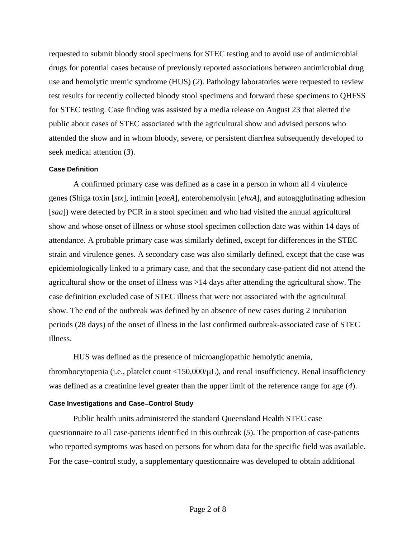requested to submit bloody stool specimens for STEC testing and to avoid use of antimicrobial drugs for potential cases because of previously reported associations between antimicrobial drug use and hemolytic uremic syndrome (HUS) (*2*). Pathology laboratories were requested to review test results for recently collected bloody stool specimens and forward these specimens to QHFSS for STEC testing. Case finding was assisted by a media release on August 23 that alerted the public about cases of STEC associated with the agricultural show and advised persons who attended the show and in whom bloody, severe, or persistent diarrhea subsequently developed to seek medical attention (*3*).

#### **Case Definition**

A confirmed primary case was defined as a case in a person in whom all 4 virulence genes (Shiga toxin [*stx*], intimin [*eaeA*], enterohemolysin [*ehxA*], and autoagglutinating adhesion [*saa*]) were detected by PCR in a stool specimen and who had visited the annual agricultural show and whose onset of illness or whose stool specimen collection date was within 14 days of attendance. A probable primary case was similarly defined, except for differences in the STEC strain and virulence genes. A secondary case was also similarly defined, except that the case was epidemiologically linked to a primary case, and that the secondary case-patient did not attend the agricultural show or the onset of illness was >14 days after attending the agricultural show. The case definition excluded case of STEC illness that were not associated with the agricultural show. The end of the outbreak was defined by an absence of new cases during 2 incubation periods (28 days) of the onset of illness in the last confirmed outbreak-associated case of STEC illness.

HUS was defined as the presence of microangiopathic hemolytic anemia, thrombocytopenia (i.e., platelet count  $\langle 150,000/\mu L \rangle$ ), and renal insufficiency. Renal insufficiency was defined as a creatinine level greater than the upper limit of the reference range for age (*4*).

## **Case Investigations and CaseControl Study**

Public health units administered the standard Queensland Health STEC case questionnaire to all case-patients identified in this outbreak (*5*). The proportion of case-patients who reported symptoms was based on persons for whom data for the specific field was available. For the case–control study, a supplementary questionnaire was developed to obtain additional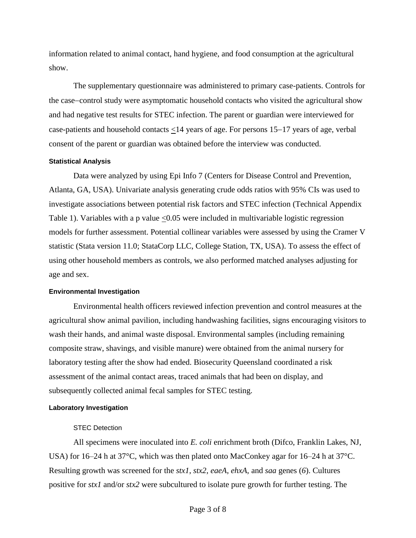information related to animal contact, hand hygiene, and food consumption at the agricultural show.

The supplementary questionnaire was administered to primary case-patients. Controls for the case–control study were asymptomatic household contacts who visited the agricultural show and had negative test results for STEC infection. The parent or guardian were interviewed for case-patients and household contacts  $\leq 14$  years of age. For persons 15–17 years of age, verbal consent of the parent or guardian was obtained before the interview was conducted.

#### **Statistical Analysis**

Data were analyzed by using Epi Info 7 (Centers for Disease Control and Prevention, Atlanta, GA, USA). Univariate analysis generating crude odds ratios with 95% CIs was used to investigate associations between potential risk factors and STEC infection (Technical Appendix Table 1). Variables with a p value <0.05 were included in multivariable logistic regression models for further assessment. Potential collinear variables were assessed by using the Cramer V statistic (Stata version 11.0; StataCorp LLC, College Station, TX, USA). To assess the effect of using other household members as controls, we also performed matched analyses adjusting for age and sex.

#### **Environmental Investigation**

Environmental health officers reviewed infection prevention and control measures at the agricultural show animal pavilion, including handwashing facilities, signs encouraging visitors to wash their hands, and animal waste disposal. Environmental samples (including remaining composite straw, shavings, and visible manure) were obtained from the animal nursery for laboratory testing after the show had ended. Biosecurity Queensland coordinated a risk assessment of the animal contact areas, traced animals that had been on display, and subsequently collected animal fecal samples for STEC testing.

#### **Laboratory Investigation**

# STEC Detection

All specimens were inoculated into *E. coli* enrichment broth (Difco, Franklin Lakes, NJ, USA) for 16–24 h at 37°C, which was then plated onto MacConkey agar for 16–24 h at 37°C. Resulting growth was screened for the *stx1*, *stx2*, *eaeA*, *ehxA*, and *saa* genes (*6*). Cultures positive for *stx1* and/or *stx2* were subcultured to isolate pure growth for further testing. The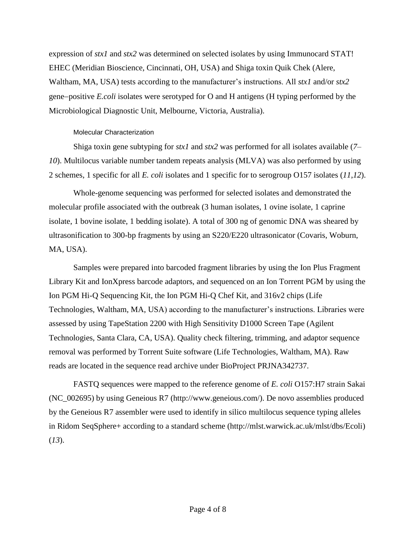expression of *stx1* and *stx2* was determined on selected isolates by using Immunocard STAT! EHEC (Meridian Bioscience, Cincinnati, OH, USA) and Shiga toxin Quik Chek (Alere, Waltham, MA, USA) tests according to the manufacturer's instructions. All *stx1* and/or *stx2* gene–positive *E.coli* isolates were serotyped for O and H antigens (H typing performed by the Microbiological Diagnostic Unit, Melbourne, Victoria, Australia).

## Molecular Characterization

Shiga toxin gene subtyping for *stx1* and *stx2* was performed for all isolates available (*7*– *10*). Multilocus variable number tandem repeats analysis (MLVA) was also performed by using 2 schemes, 1 specific for all *E. coli* isolates and 1 specific for to serogroup O157 isolates (*11*,*12*).

Whole-genome sequencing was performed for selected isolates and demonstrated the molecular profile associated with the outbreak (3 human isolates, 1 ovine isolate, 1 caprine isolate, 1 bovine isolate, 1 bedding isolate). A total of 300 ng of genomic DNA was sheared by ultrasonification to 300-bp fragments by using an S220/E220 ultrasonicator (Covaris, Woburn, MA, USA).

Samples were prepared into barcoded fragment libraries by using the Ion Plus Fragment Library Kit and IonXpress barcode adaptors, and sequenced on an Ion Torrent PGM by using the Ion PGM Hi-Q Sequencing Kit, the Ion PGM Hi-Q Chef Kit, and 316v2 chips (Life Technologies, Waltham, MA, USA) according to the manufacturer's instructions. Libraries were assessed by using TapeStation 2200 with High Sensitivity D1000 Screen Tape (Agilent Technologies, Santa Clara, CA, USA). Quality check filtering, trimming, and adaptor sequence removal was performed by Torrent Suite software (Life Technologies, Waltham, MA). Raw reads are located in the sequence read archive under BioProject PRJNA342737.

FASTQ sequences were mapped to the reference genome of *E. coli* O157:H7 strain Sakai (NC\_002695) by using Geneious R7 (http://www.geneious.com/). De novo assemblies produced by the Geneious R7 assembler were used to identify in silico multilocus sequence typing alleles in Ridom SeqSphere+ according to a standard scheme (http://mlst.warwick.ac.uk/mlst/dbs/Ecoli) (*13*).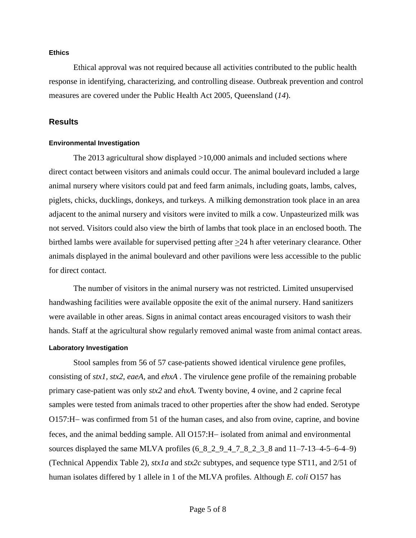## **Ethics**

Ethical approval was not required because all activities contributed to the public health response in identifying, characterizing, and controlling disease. Outbreak prevention and control measures are covered under the Public Health Act 2005, Queensland (*14*).

#### **Results**

#### **Environmental Investigation**

The 2013 agricultural show displayed >10,000 animals and included sections where direct contact between visitors and animals could occur. The animal boulevard included a large animal nursery where visitors could pat and feed farm animals, including goats, lambs, calves, piglets, chicks, ducklings, donkeys, and turkeys. A milking demonstration took place in an area adjacent to the animal nursery and visitors were invited to milk a cow. Unpasteurized milk was not served. Visitors could also view the birth of lambs that took place in an enclosed booth. The birthed lambs were available for supervised petting after  $\geq 24$  h after veterinary clearance. Other animals displayed in the animal boulevard and other pavilions were less accessible to the public for direct contact.

The number of visitors in the animal nursery was not restricted. Limited unsupervised handwashing facilities were available opposite the exit of the animal nursery. Hand sanitizers were available in other areas. Signs in animal contact areas encouraged visitors to wash their hands. Staff at the agricultural show regularly removed animal waste from animal contact areas.

#### **Laboratory Investigation**

Stool samples from 56 of 57 case-patients showed identical virulence gene profiles, consisting of *stx1, stx2*, *eaeA,* and *ehxA .* The virulence gene profile of the remaining probable primary case-patient was only *stx2* and *ehxA*. Twenty bovine, 4 ovine, and 2 caprine fecal samples were tested from animals traced to other properties after the show had ended. Serotype O157:H- was confirmed from 51 of the human cases, and also from ovine, caprine, and bovine feces, and the animal bedding sample. All O157:H- isolated from animal and environmental sources displayed the same MLVA profiles  $(6\_8\_2\_9\_4\_7\_8\_2\_3\_8$  and  $11–7-13–4-5–6-4–9)$ (Technical Appendix Table 2), *stx1a* and *stx2c* subtypes, and sequence type ST11, and 2/51 of human isolates differed by 1 allele in 1 of the MLVA profiles. Although *E. coli* O157 has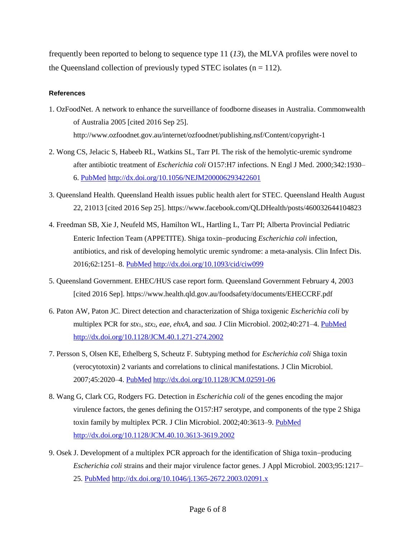frequently been reported to belong to sequence type 11 (*13*), the MLVA profiles were novel to the Queensland collection of previously typed STEC isolates  $(n = 112)$ .

## **References**

- 1. OzFoodNet. A network to enhance the surveillance of foodborne diseases in Australia. Commonwealth of Australia 2005 [cited 2016 Sep 25]. http://www.ozfoodnet.gov.au/internet/ozfoodnet/publishing.nsf/Content/copyright-1
- 2. Wong CS, Jelacic S, Habeeb RL, Watkins SL, Tarr PI. The risk of the hemolytic-uremic syndrome after antibiotic treatment of *Escherichia coli* O157:H7 infections. N Engl J Med. 2000;342:1930– 6. [PubMed](https://www.ncbi.nlm.nih.gov/entrez/query.fcgi?cmd=Retrieve&db=PubMed&list_uids=10874060&dopt=Abstract) <http://dx.doi.org/10.1056/NEJM200006293422601>
- 3. Queensland Health. Queensland Health issues public health alert for STEC. Queensland Health August 22, 21013 [cited 2016 Sep 25]. https://www.facebook.com/QLDHealth/posts/460032644104823
- 4. Freedman SB, Xie J, Neufeld MS, Hamilton WL, Hartling L, Tarr PI; Alberta Provincial Pediatric Enteric Infection Team (APPETITE). Shiga toxin-producing *Escherichia coli* infection, antibiotics, and risk of developing hemolytic uremic syndrome: a meta-analysis. Clin Infect Dis. 2016;62:1251–8. [PubMed](https://www.ncbi.nlm.nih.gov/entrez/query.fcgi?cmd=Retrieve&db=PubMed&list_uids=26917812&dopt=Abstract) <http://dx.doi.org/10.1093/cid/ciw099>
- 5. Queensland Government. EHEC/HUS case report form. Queensland Government February 4, 2003 [cited 2016 Sep]. https://www.health.qld.gov.au/foodsafety/documents/EHECCRF.pdf
- 6. Paton AW, Paton JC. Direct detection and characterization of Shiga toxigenic *Escherichia coli* by multiplex PCR for *stx*1, *stx*2, *eae, ehxA*, and *saa.* J Clin Microbiol. 2002;40:271–4. [PubMed](https://www.ncbi.nlm.nih.gov/entrez/query.fcgi?cmd=Retrieve&db=PubMed&list_uids=11773130&dopt=Abstract) <http://dx.doi.org/10.1128/JCM.40.1.271-274.2002>
- 7. Persson S, Olsen KE, Ethelberg S, Scheutz F. Subtyping method for *Escherichia coli* Shiga toxin (verocytotoxin) 2 variants and correlations to clinical manifestations. J Clin Microbiol. 2007;45:2020–4. [PubMed](https://www.ncbi.nlm.nih.gov/entrez/query.fcgi?cmd=Retrieve&db=PubMed&list_uids=17446326&dopt=Abstract) <http://dx.doi.org/10.1128/JCM.02591-06>
- 8. Wang G, Clark CG, Rodgers FG. Detection in *Escherichia coli* of the genes encoding the major virulence factors, the genes defining the O157:H7 serotype, and components of the type 2 Shiga toxin family by multiplex PCR. J Clin Microbiol. 2002;40:3613-9. [PubMed](https://www.ncbi.nlm.nih.gov/entrez/query.fcgi?cmd=Retrieve&db=PubMed&list_uids=12354854&dopt=Abstract) <http://dx.doi.org/10.1128/JCM.40.10.3613-3619.2002>
- 9. Osek J. Development of a multiplex PCR approach for the identification of Shiga toxin-producing *Escherichia coli* strains and their major virulence factor genes. J Appl Microbiol. 2003;95:1217– 25. [PubMed](https://www.ncbi.nlm.nih.gov/entrez/query.fcgi?cmd=Retrieve&db=PubMed&list_uids=14632994&dopt=Abstract) <http://dx.doi.org/10.1046/j.1365-2672.2003.02091.x>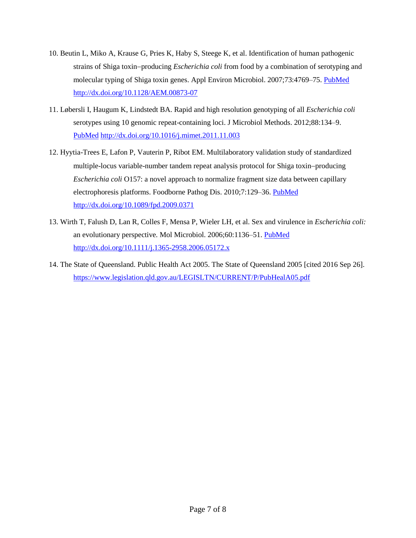- 10. Beutin L, Miko A, Krause G, Pries K, Haby S, Steege K, et al. Identification of human pathogenic strains of Shiga toxin-producing *Escherichia coli* from food by a combination of serotyping and molecular typing of Shiga toxin genes. Appl Environ Microbiol. 2007;73:4769–75. [PubMed](https://www.ncbi.nlm.nih.gov/entrez/query.fcgi?cmd=Retrieve&db=PubMed&list_uids=17557838&dopt=Abstract) <http://dx.doi.org/10.1128/AEM.00873-07>
- 11. Løbersli I, Haugum K, Lindstedt BA. Rapid and high resolution genotyping of all *Escherichia coli* serotypes using 10 genomic repeat-containing loci. J Microbiol Methods. 2012;88:134–9[.](https://www.ncbi.nlm.nih.gov/entrez/query.fcgi?cmd=Retrieve&db=PubMed&list_uids=22088357&dopt=Abstract) [PubMed](https://www.ncbi.nlm.nih.gov/entrez/query.fcgi?cmd=Retrieve&db=PubMed&list_uids=22088357&dopt=Abstract) <http://dx.doi.org/10.1016/j.mimet.2011.11.003>
- 12. Hyytia-Trees E, Lafon P, Vauterin P, Ribot EM. Multilaboratory validation study of standardized multiple-locus variable-number tandem repeat analysis protocol for Shiga toxin-producing *Escherichia coli* O157: a novel approach to normalize fragment size data between capillary electrophoresis platforms. Foodborne Pathog Dis. 2010;7:129–36. [PubMed](https://www.ncbi.nlm.nih.gov/entrez/query.fcgi?cmd=Retrieve&db=PubMed&list_uids=19785535&dopt=Abstract) <http://dx.doi.org/10.1089/fpd.2009.0371>
- 13. Wirth T, Falush D, Lan R, Colles F, Mensa P, Wieler LH, et al. Sex and virulence in *Escherichia coli:* an evolutionary perspective. Mol Microbiol. 2006;60:1136-51. [PubMed](https://www.ncbi.nlm.nih.gov/entrez/query.fcgi?cmd=Retrieve&db=PubMed&list_uids=16689791&dopt=Abstract) <http://dx.doi.org/10.1111/j.1365-2958.2006.05172.x>
- 14. The State of Queensland. Public Health Act 2005. The State of Queensland 2005 [cited 2016 Sep 26]. <https://www.legislation.qld.gov.au/LEGISLTN/CURRENT/P/PubHealA05.pdf>